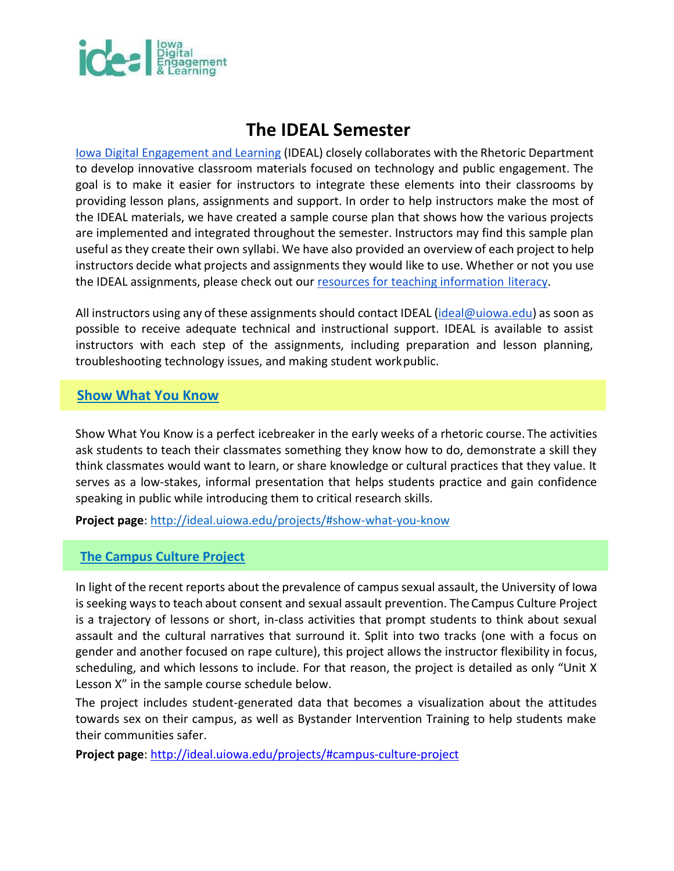

# **The IDEAL Semester**

[Iowa Digital Engagement and Learning \(](http://ideal.uiowa.edu/)IDEAL) closely collaborates with the Rhetoric Department to develop innovative classroom materials focused on technology and public engagement. The goal is to make it easier for instructors to integrate these elements into their classrooms by providing lesson plans, assignments and support. In order to help instructors make the most of the IDEAL materials, we have created a sample course plan that shows how the various projects are implemented and integrated throughout the semester. Instructors may find this sample plan useful as they create their own syllabi. We have also provided an overview of each project to help instructors decide what projects and assignments they would like to use. Whether or not you use the IDEAL assignments, please check out our [resources for](http://ideal.uiowa.edu/projects/#iowa-narratives-project-inp) [teaching information literacy.](http://ideal.uiowa.edu/projects/#iowa-narratives-project)

All instructors using any of these assignments should contact IDEAL [\(ideal@uiowa.edu\)](mailto:ideal@uiowa.edu) as soon as possible to receive adequate technical and instructional support. IDEAL is available to assist instructors with each step of the assignments, including preparation and lesson planning, troubleshooting technology issues, and making student work public.

### **[Show What You Know](http://ideal.uiowa.edu/projects/#show-what-you-know)**

Show What You Know is a perfect icebreaker in the early weeks of a rhetoric course. The activities ask students to teach their classmates something they know how to do, demonstrate a skill they think classmates would want to learn, or share knowledge or cultural practices that they value. It serves as a low-stakes, informal presentation that helps students practice and gain confidence speaking in public while introducing them to critical research skills.

**Project page**:<http://ideal.uiowa.edu/projects/#show-what-you-know>

#### **[The Campus Culture Project](http://ideal.uiowa.edu/projects/#campus-culture-project)**

In light of the recent reports about the prevalence of campus sexual assault, the University of Iowa is seeking ways to teach about consent and sexual assault prevention. The Campus Culture Project is a trajectory of lessons or short, in-class activities that prompt students to think about sexual assault and the cultural narratives that surround it. Split into two tracks (one with a focus on gender and another focused on rape culture), this project allows the instructor flexibility in focus, scheduling, and which lessons to include. For that reason, the project is detailed as only "Unit X Lesson X" in the sample course schedule below.

The project includes student-generated data that becomes a visualization about the attitudes towards sex on their campus, as well as Bystander Intervention Training to help students make their communities safer.

**Project page**:<http://ideal.uiowa.edu/projects/#campus-culture-project>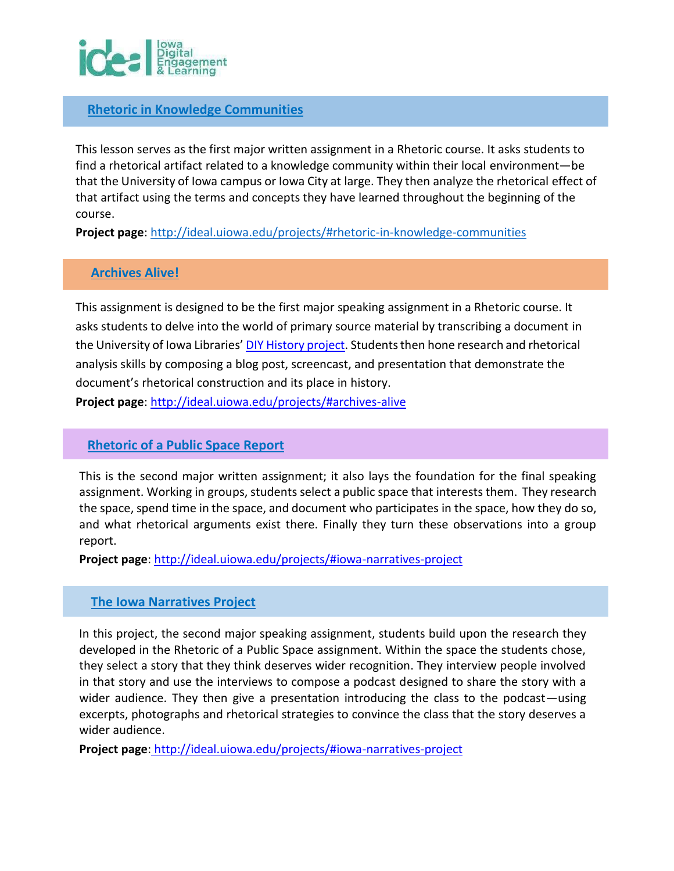

#### **[Rhetoric in Knowledge Communities](http://ideal.uiowa.edu/projects/#rhetoric-in-knowledge-communities)**

This lesson serves as the first major written assignment in a Rhetoric course. It asks students to find a rhetorical artifact related to a knowledge community within their local environment—be that the University of Iowa campus or Iowa City at large. They then analyze the rhetorical effect of that artifact using the terms and concepts they have learned throughout the beginning of the course.

**Project page**:<http://ideal.uiowa.edu/projects/#rhetoric-in-knowledge-communities>

#### **[Archives Alive!](http://ideal.uiowa.edu/projects/#archives-alive)**

This assignment is designed to be the first major speaking assignment in a Rhetoric course. It asks students to delve into the world of primary source material by transcribing a document in the University of Iowa Libraries' [DIY History project.](https://diyhistory.lib.uiowa.edu/) Students then hone research and rhetorical analysis skills by composing a blog post, screencast, and presentation that demonstrate the document's rhetorical construction and its place in history.

**Project page**:<http://ideal.uiowa.edu/projects/#archives-alive>

#### **[Rhetoric of a Public Space Report](http://ideal.uiowa.edu/projects/#iowa-narratives-project)**

This is the second major written assignment; it also lays the foundation for the final speaking assignment. Working in groups, students select a public space that interests them. They research the space, spend time in the space, and document who participates in the space, how they do so, and what rhetorical arguments exist there. Finally they turn these observations into a group report.

**Project page**:<http://ideal.uiowa.edu/projects/#iowa-narratives-project>

#### **[The Iowa Narratives Project](http://ideal.uiowa.edu/projects/#iowa-narratives-project)**

In this project, the second major speaking assignment, students build upon the research they developed in the Rhetoric of a Public Space assignment. Within the space the students chose, they select a story that they think deserves wider recognition. They interview people involved in that story and use the interviews to compose a podcast designed to share the story with a wider audience. They then give a presentation introducing the class to the podcast—using excerpts, photographs and rhetorical strategies to convince the class that the story deserves a wider audience.

**Project page**[: http://ideal.uiowa.edu/projects/#iowa-narratives-project](http://ideal.uiowa.edu/projects/#iowa-narratives-project)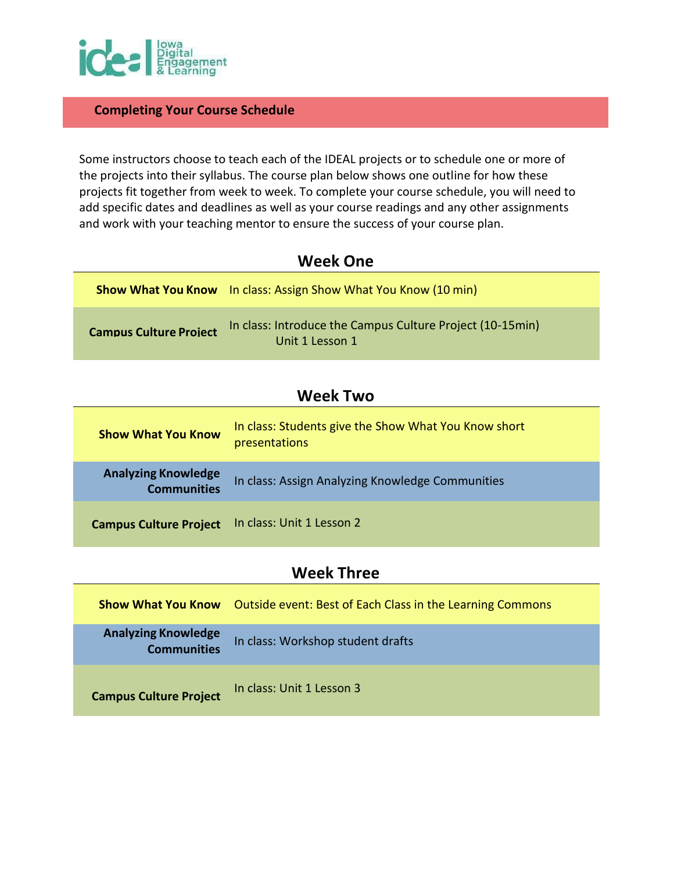

#### **Completing Your Course Schedule**

Some instructors choose to teach each of the IDEAL projects or to schedule one or more of the projects into their syllabus. The course plan below shows one outline for how these projects fit together from week to week. To complete your course schedule, you will need to add specific dates and deadlines as well as your course readings and any other assignments and work with your teaching mentor to ensure the success of your course plan.

| <b>Week One</b> |  |
|-----------------|--|
|-----------------|--|

|                               | <b>Show What You Know</b> In class: Assign Show What You Know (10 min)       |
|-------------------------------|------------------------------------------------------------------------------|
| <b>Campus Culture Project</b> | In class: Introduce the Campus Culture Project (10-15min)<br>Unit 1 Lesson 1 |

### **Week Two**

| <b>Show What You Know</b>                        | In class: Students give the Show What You Know short<br>presentations |
|--------------------------------------------------|-----------------------------------------------------------------------|
| <b>Analyzing Knowledge</b><br><b>Communities</b> | In class: Assign Analyzing Knowledge Communities                      |
| <b>Campus Culture Project</b>                    | In class: Unit 1 Lesson 2                                             |

### **Week Three**

| <b>Show What You Know</b>                        | Outside event: Best of Each Class in the Learning Commons |
|--------------------------------------------------|-----------------------------------------------------------|
| <b>Analyzing Knowledge</b><br><b>Communities</b> | In class: Workshop student drafts                         |
| <b>Campus Culture Project</b>                    | In class: Unit 1 Lesson 3                                 |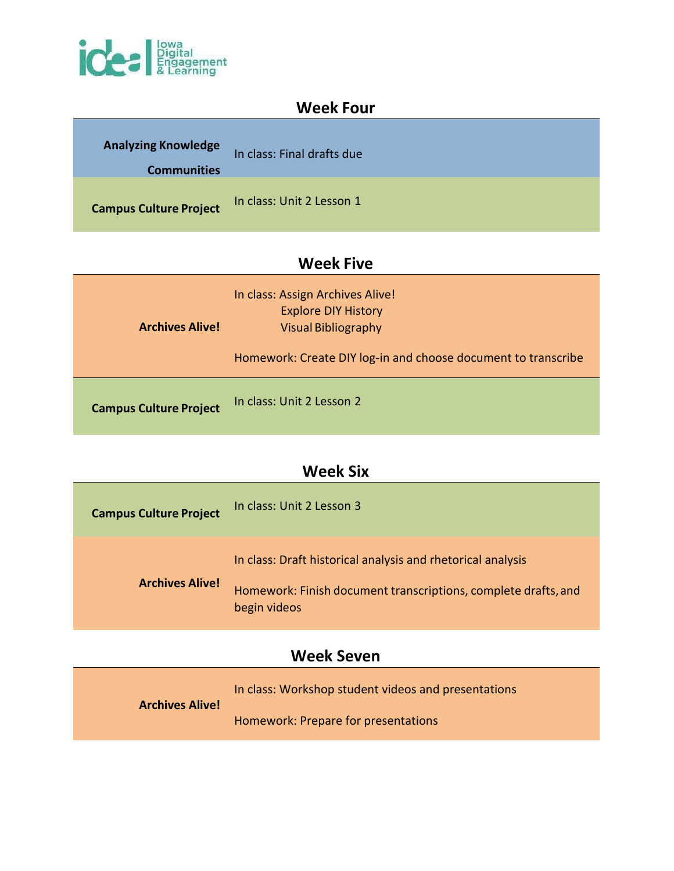

### **Week Four**

| <b>Analyzing Knowledge</b><br><b>Communities</b> | In class: Final drafts due |
|--------------------------------------------------|----------------------------|
| <b>Campus Culture Project</b>                    | In class: Unit 2 Lesson 1  |

## **Week Five**

| <b>Archives Alive!</b>        | In class: Assign Archives Alive!<br><b>Explore DIY History</b><br><b>Visual Bibliography</b><br>Homework: Create DIY log-in and choose document to transcribe |
|-------------------------------|---------------------------------------------------------------------------------------------------------------------------------------------------------------|
| <b>Campus Culture Project</b> | In class: Unit 2 Lesson 2                                                                                                                                     |

## **Week Six**

| <b>Campus Culture Project</b> | In class: Unit 2 Lesson 3                                                                                                                     |
|-------------------------------|-----------------------------------------------------------------------------------------------------------------------------------------------|
| <b>Archives Alive!</b>        | In class: Draft historical analysis and rhetorical analysis<br>Homework: Finish document transcriptions, complete drafts, and<br>begin videos |

## **Week Seven**

| <b>Archives Alive!</b> | In class: Workshop student videos and presentations |
|------------------------|-----------------------------------------------------|
|                        | Homework: Prepare for presentations                 |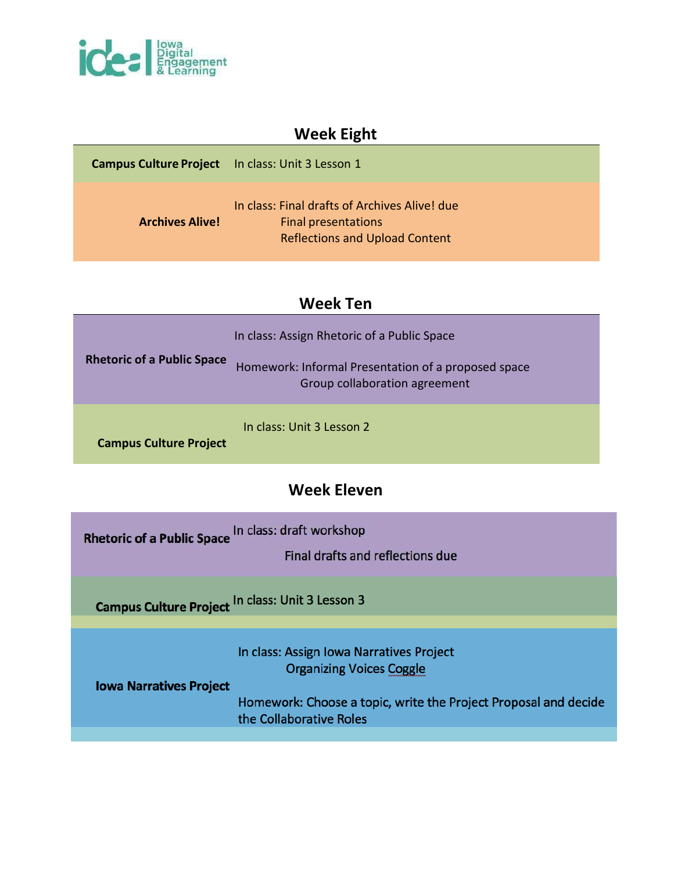

## **Week Eight**

| <b>Campus Culture Project</b> In class: Unit 3 Lesson 1 |                                                                                                               |
|---------------------------------------------------------|---------------------------------------------------------------------------------------------------------------|
| <b>Archives Alive!</b>                                  | In class: Final drafts of Archives Alive! due<br>Final presentations<br><b>Reflections and Upload Content</b> |

### **Week Ten**

| <b>Rhetoric of a Public Space</b> | In class: Assign Rhetoric of a Public Space<br>Homework: Informal Presentation of a proposed space<br>Group collaboration agreement |
|-----------------------------------|-------------------------------------------------------------------------------------------------------------------------------------|
| <b>Campus Culture Project</b>     | In class: Unit 3 Lesson 2                                                                                                           |

## **Week Eleven**

| Rhetoric of a Public Space In class: draft workshop<br>Final drafts and reflections due                   |  |
|-----------------------------------------------------------------------------------------------------------|--|
| $\mathbf{r}$ and $\mathbf{r}$ are all $\mathbf{r}$ and $\mathbf{r}$ are all $\mathbf{r}$ and $\mathbf{r}$ |  |

n class: Unit 3 Lesson 3 **Campus Culture Project** 

> In class: Assign Iowa Narratives Project **Organizing Voices Coggle**

**Iowa Narratives Project** 

Homework: Choose a topic, write the Project Proposal and decide the Collaborative Roles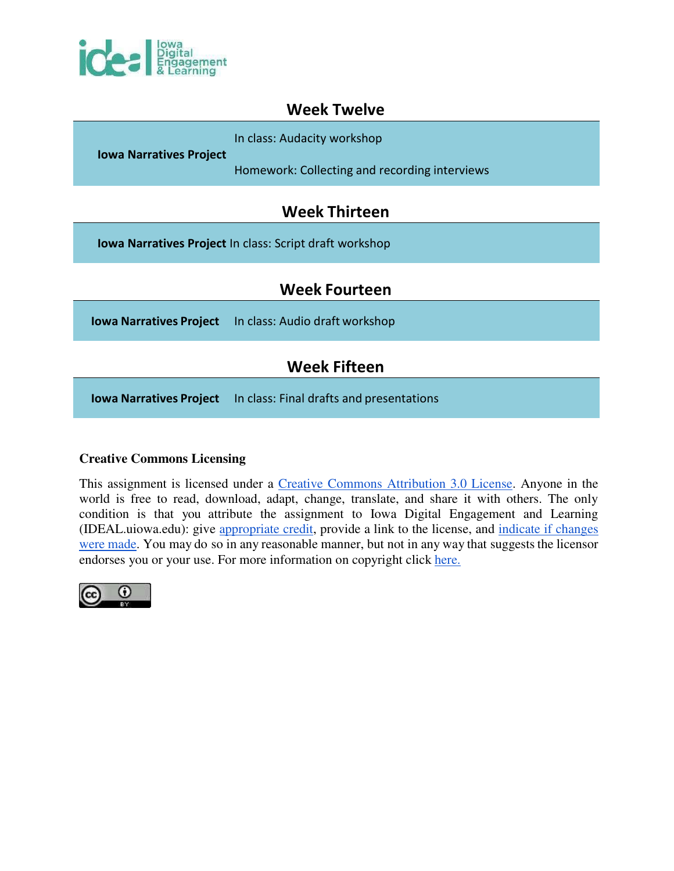

### **Week Twelve**

In class: Audacity workshop

**Iowa Narratives Project** 

Homework: Collecting and recording interviews

### **Week Thirteen**

**Iowa Narratives Project** In class: Script draft workshop

### **Week Fourteen**

**Iowa Narratives Project** In class: Audio draft workshop

## **Week Fifteen**

**Iowa Narratives Project** In class: Final drafts and presentations

#### **Creative Commons Licensing**

This assignment is licensed under a [Creative Commons Attribution 3.0 License.](http://creativecommons.org/licenses/by/3.0/) Anyone in the world is free to read, download, adapt, change, translate, and share it with others. The only condition is that you attribute the assignment to Iowa Digital Engagement and Learning (IDEAL.uiowa.edu): give [appropriate credit, p](http://creativecommons.org/licenses/by/3.0/)rovide a link to the license, and [indicate if changes](http://creativecommons.org/licenses/by/3.0/)  [were made. Y](http://creativecommons.org/licenses/by/3.0/)ou may do so in any reasonable manner, but not in any way that suggests the licensor endorses you or your use. For more information on copyright click [here.](http://guides.lib.uiowa.edu/copyright)